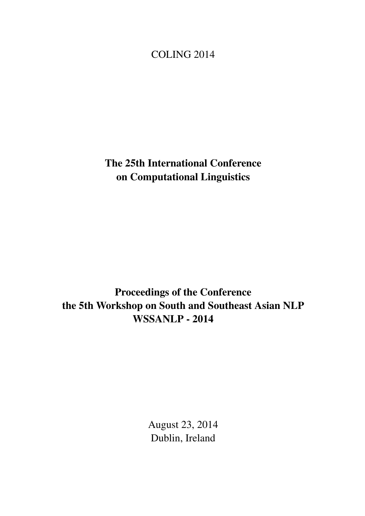## <span id="page-0-0"></span>COLING 2014

The 25th International Conference on Computational Linguistics

Proceedings of the Conference the 5th Workshop on South and Southeast Asian NLP WSSANLP - 2014

> August 23, 2014 Dublin, Ireland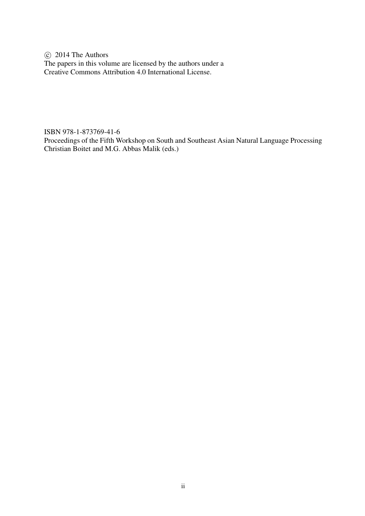c 2014 The Authors The papers in this volume are licensed by the authors under a Creative Commons Attribution 4.0 International License.

ISBN 978-1-873769-41-6

Proceedings of the Fifth Workshop on South and Southeast Asian Natural Language Processing Christian Boitet and M.G. Abbas Malik (eds.)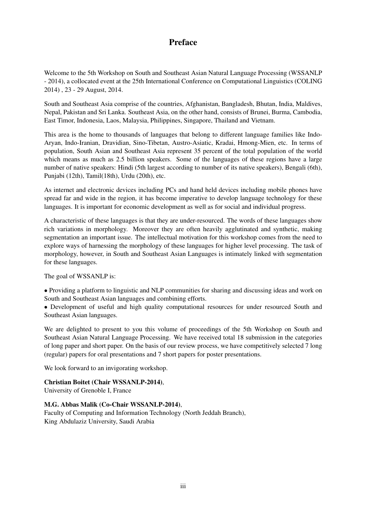## Preface

Welcome to the 5th Workshop on South and Southeast Asian Natural Language Processing (WSSANLP - 2014), a collocated event at the 25th International Conference on Computational Linguistics (COLING 2014) , 23 - 29 August, 2014.

South and Southeast Asia comprise of the countries, Afghanistan, Bangladesh, Bhutan, India, Maldives, Nepal, Pakistan and Sri Lanka. Southeast Asia, on the other hand, consists of Brunei, Burma, Cambodia, East Timor, Indonesia, Laos, Malaysia, Philippines, Singapore, Thailand and Vietnam.

This area is the home to thousands of languages that belong to different language families like Indo-Aryan, Indo-Iranian, Dravidian, Sino-Tibetan, Austro-Asiatic, Kradai, Hmong-Mien, etc. In terms of population, South Asian and Southeast Asia represent 35 percent of the total population of the world which means as much as 2.5 billion speakers. Some of the languages of these regions have a large number of native speakers: Hindi (5th largest according to number of its native speakers), Bengali (6th), Punjabi (12th), Tamil(18th), Urdu (20th), etc.

As internet and electronic devices including PCs and hand held devices including mobile phones have spread far and wide in the region, it has become imperative to develop language technology for these languages. It is important for economic development as well as for social and individual progress.

A characteristic of these languages is that they are under-resourced. The words of these languages show rich variations in morphology. Moreover they are often heavily agglutinated and synthetic, making segmentation an important issue. The intellectual motivation for this workshop comes from the need to explore ways of harnessing the morphology of these languages for higher level processing. The task of morphology, however, in South and Southeast Asian Languages is intimately linked with segmentation for these languages.

The goal of WSSANLP is:

• Providing a platform to linguistic and NLP communities for sharing and discussing ideas and work on South and Southeast Asian languages and combining efforts.

• Development of useful and high quality computational resources for under resourced South and Southeast Asian languages.

We are delighted to present to you this volume of proceedings of the 5th Workshop on South and Southeast Asian Natural Language Processing. We have received total 18 submission in the categories of long paper and short paper. On the basis of our review process, we have competitively selected 7 long (regular) papers for oral presentations and 7 short papers for poster presentations.

We look forward to an invigorating workshop.

## Christian Boitet (Chair WSSANLP-2014),

University of Grenoble I, France

### M.G. Abbas Malik (Co-Chair WSSANLP-2014),

Faculty of Computing and Information Technology (North Jeddah Branch), King Abdulaziz University, Saudi Arabia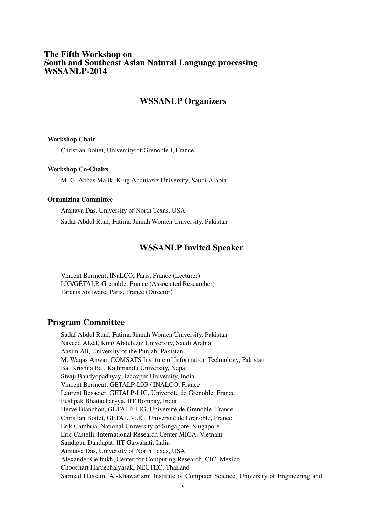### The Fifth Workshop on South and Southeast Asian Natural Language processing WSSANLP-2014

## WSSANLP Organizers

#### Workshop Chair

Christian Boitet, University of Grenoble I, France

#### Workshop Co-Chairs

M. G. Abbas Malik, King Abdulaziz University, Saudi Arabia

#### Organizing Committee

Amitava Das, University of North Texas, USA Sadaf Abdul Rauf, Fatima Jinnah Women University, Pakistan

### WSSANLP Invited Speaker

Vincent Berment, INaLCO, Paris, France (Lecturer) LIG/GÉTALP, Grenoble, France (Associated Researcher) Taranis Software, Paris, France (Director)

## Program Committee

Sadaf Abdul Rauf, Fatima Jinnah Women University, Pakistan Naveed Afzal, King Abdulaziz University, Saudi Arabia Aasim Ali, University of the Punjab, Pakistan M. Waqas Anwar, COMSATS Institute of Information Technology, Pakistan Bal Krishna Bal, Kathmandu University, Nepal Sivaji Bandyopadhyay, Jadavpur University, India Vincent Berment, GETALP-LIG / INALCO, France Laurent Besacier, GETALP-LIG, Université de Grenoble, France Pushpak Bhattacharyya, IIT Bombay, India Hervé Blanchon, GETALP-LIG, Université de Grenoble, France Christian Boitet, GETALP-LIG, Université de Grenoble, France Erik Cambria, National University of Singapore, Singapore Eric Castelli, International Research Center MICA, Vietnam Sandipan Dandapat, IIT Guwahati, India Amitava Das, University of North Texas, USA Alexander Gelbukh, Center for Computing Research, CIC, Mexico Choochart Haruechaiyasak, NECTEC, Thailand Sarmad Hussain, Al-Khawarizmi Institute of Computer Science, University of Engineering and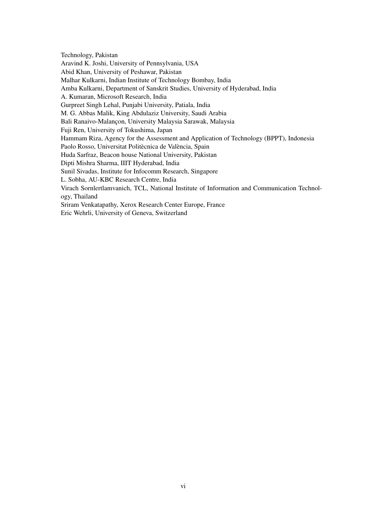Technology, Pakistan Aravind K. Joshi, University of Pennsylvania, USA Abid Khan, University of Peshawar, Pakistan Malhar Kulkarni, Indian Institute of Technology Bombay, India Amba Kulkarni, Department of Sanskrit Studies, University of Hyderabad, India A. Kumaran, Microsoft Research, India Gurpreet Singh Lehal, Punjabi University, Patiala, India M. G. Abbas Malik, King Abdulaziz University, Saudi Arabia Bali Ranaivo-Malançon, University Malaysia Sarawak, Malaysia Fuji Ren, University of Tokushima, Japan Hammam Riza, Agency for the Assessment and Application of Technology (BPPT), Indonesia Paolo Rosso, Universitat Politècnica de València, Spain Huda Sarfraz, Beacon house National University, Pakistan Dipti Mishra Sharma, IIIT Hyderabad, India Sunil Sivadas, Institute for Infocomm Research, Singapore L. Sobha, AU-KBC Research Centre, India Virach Sornlertlamvanich, TCL, National Institute of Information and Communication Technology, Thailand Sriram Venkatapathy, Xerox Research Center Europe, France Eric Wehrli, University of Geneva, Switzerland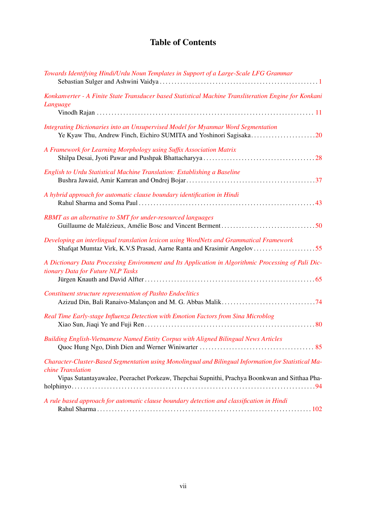# Table of Contents

| Towards Identifying Hindi/Urdu Noun Templates in Support of a Large-Scale LFG Grammar                                                                                                                                      |
|----------------------------------------------------------------------------------------------------------------------------------------------------------------------------------------------------------------------------|
| Konkanverter - A Finite State Transducer based Statistical Machine Transliteration Engine for Konkani<br>Language                                                                                                          |
| Integrating Dictionaries into an Unsupervised Model for Myanmar Word Segmentation                                                                                                                                          |
| A Framework for Learning Morphology using Suffix Association Matrix                                                                                                                                                        |
| English to Urdu Statistical Machine Translation: Establishing a Baseline                                                                                                                                                   |
| A hybrid approach for automatic clause boundary identification in Hindi                                                                                                                                                    |
| RBMT as an alternative to SMT for under-resourced languages                                                                                                                                                                |
| Developing an interlingual translation lexicon using WordNets and Grammatical Framework                                                                                                                                    |
| A Dictionary Data Processing Environment and Its Application in Algorithmic Processing of Pali Dic-<br>tionary Data for Future NLP Tasks                                                                                   |
| <b>Constituent structure representation of Pashto Endoclitics</b>                                                                                                                                                          |
| Real Time Early-stage Influenza Detection with Emotion Factors from Sina Microblog                                                                                                                                         |
| Building English-Vietnamese Named Entity Corpus with Aligned Bilingual News Articles                                                                                                                                       |
| Character-Cluster-Based Segmentation using Monolingual and Bilingual Information for Statistical Ma-<br>chine Translation<br>Vipas Sutantayawalee, Peerachet Porkeaw, Thepchai Supnithi, Prachya Boonkwan and Sitthaa Pha- |
| A rule based approach for automatic clause boundary detection and classification in Hindi                                                                                                                                  |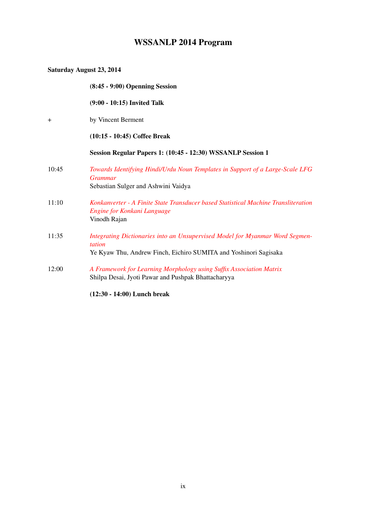# WSSANLP 2014 Program

| Saturday August 23, 2014 |                                                                                                                                                            |
|--------------------------|------------------------------------------------------------------------------------------------------------------------------------------------------------|
|                          | $(8:45 - 9:00)$ Openning Session                                                                                                                           |
|                          | (9:00 - 10:15) Invited Talk                                                                                                                                |
| $^{+}$                   | by Vincent Berment                                                                                                                                         |
|                          | $(10:15 - 10:45)$ Coffee Break                                                                                                                             |
|                          | Session Regular Papers 1: (10:45 - 12:30) WSSANLP Session 1                                                                                                |
| 10:45                    | Towards Identifying Hindi/Urdu Noun Templates in Support of a Large-Scale LFG<br><b>Grammar</b><br>Sebastian Sulger and Ashwini Vaidya                     |
| 11:10                    | Konkanverter - A Finite State Transducer based Statistical Machine Transliteration<br>Engine for Konkani Language<br>Vinodh Rajan                          |
| 11:35                    | Integrating Dictionaries into an Unsupervised Model for Myanmar Word Segmen-<br>tation<br>Ye Kyaw Thu, Andrew Finch, Eichiro SUMITA and Yoshinori Sagisaka |
| 12:00                    | A Framework for Learning Morphology using Suffix Association Matrix<br>Shilpa Desai, Jyoti Pawar and Pushpak Bhattacharyya                                 |

(12:30 - 14:00) Lunch break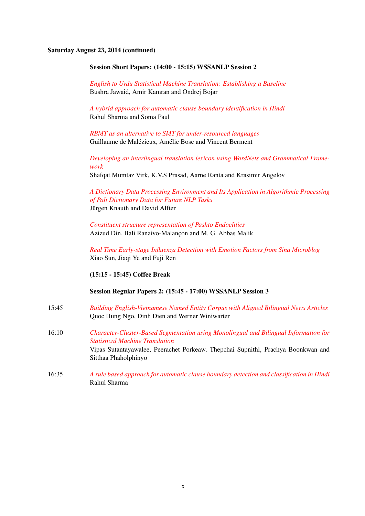#### Saturday August 23, 2014 (continued)

#### Session Short Papers: (14:00 - 15:15) WSSANLP Session 2

*[English to Urdu Statistical Machine Translation: Establishing a Baseline](#page-0-0)* Bushra Jawaid, Amir Kamran and Ondrej Bojar

*[A hybrid approach for automatic clause boundary identification in Hindi](#page-0-0)* Rahul Sharma and Soma Paul

*[RBMT as an alternative to SMT for under-resourced languages](#page-0-0)* Guillaume de Malézieux, Amélie Bosc and Vincent Berment

*[Developing an interlingual translation lexicon using WordNets and Grammatical Frame](#page-0-0)[work](#page-0-0)*

Shafqat Mumtaz Virk, K.V.S Prasad, Aarne Ranta and Krasimir Angelov

*[A Dictionary Data Processing Environment and Its Application in Algorithmic Processing](#page-0-0) [of Pali Dictionary Data for Future NLP Tasks](#page-0-0)* Jürgen Knauth and David Alfter

*[Constituent structure representation of Pashto Endoclitics](#page-0-0)* Azizud Din, Bali Ranaivo-Malançon and M. G. Abbas Malik

*[Real Time Early-stage Influenza Detection with Emotion Factors from Sina Microblog](#page-0-0)* Xiao Sun, Jiaqi Ye and Fuji Ren

(15:15 - 15:45) Coffee Break

Session Regular Papers 2: (15:45 - 17:00) WSSANLP Session 3

- 15:45 *[Building English-Vietnamese Named Entity Corpus with Aligned Bilingual News Articles](#page-0-0)* Quoc Hung Ngo, Dinh Dien and Werner Winiwarter
- 16:10 *[Character-Cluster-Based Segmentation using Monolingual and Bilingual Information for](#page-0-0) [Statistical Machine Translation](#page-0-0)* Vipas Sutantayawalee, Peerachet Porkeaw, Thepchai Supnithi, Prachya Boonkwan and Sitthaa Phaholphinyo
- 16:35 *[A rule based approach for automatic clause boundary detection and classification in Hindi](#page-0-0)* Rahul Sharma